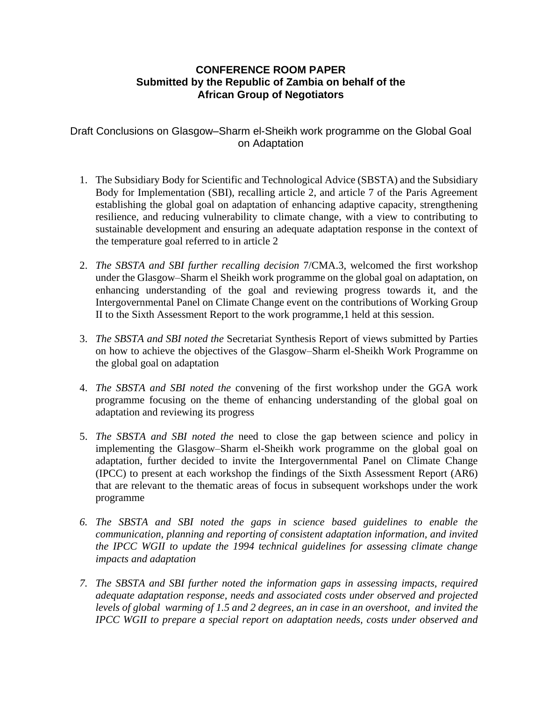## **CONFERENCE ROOM PAPER Submitted by the Republic of Zambia on behalf of the African Group of Negotiators**

Draft Conclusions on Glasgow–Sharm el-Sheikh work programme on the Global Goal on Adaptation

- 1. The Subsidiary Body for Scientific and Technological Advice (SBSTA) and the Subsidiary Body for Implementation (SBI), recalling article 2, and article 7 of the Paris Agreement establishing the global goal on adaptation of enhancing adaptive capacity, strengthening resilience, and reducing vulnerability to climate change, with a view to contributing to sustainable development and ensuring an adequate adaptation response in the context of the temperature goal referred to in article 2
- 2. *The SBSTA and SBI further recalling decision* 7/CMA.3, welcomed the first workshop under the Glasgow–Sharm el Sheikh work programme on the global goal on adaptation, on enhancing understanding of the goal and reviewing progress towards it, and the Intergovernmental Panel on Climate Change event on the contributions of Working Group II to the Sixth Assessment Report to the work programme,1 held at this session.
- 3. *The SBSTA and SBI noted the* Secretariat Synthesis Report of views submitted by Parties on how to achieve the objectives of the Glasgow–Sharm el-Sheikh Work Programme on the global goal on adaptation
- 4. *The SBSTA and SBI noted the* convening of the first workshop under the GGA work programme focusing on the theme of enhancing understanding of the global goal on adaptation and reviewing its progress
- 5. *The SBSTA and SBI noted the* need to close the gap between science and policy in implementing the Glasgow–Sharm el-Sheikh work programme on the global goal on adaptation, further decided to invite the Intergovernmental Panel on Climate Change (IPCC) to present at each workshop the findings of the Sixth Assessment Report (AR6) that are relevant to the thematic areas of focus in subsequent workshops under the work programme
- *6. The SBSTA and SBI noted the gaps in science based guidelines to enable the communication, planning and reporting of consistent adaptation information, and invited the IPCC WGII to update the 1994 technical guidelines for assessing climate change impacts and adaptation*
- *7. The SBSTA and SBI further noted the information gaps in assessing impacts, required adequate adaptation response, needs and associated costs under observed and projected levels of global warming of 1.5 and 2 degrees, an in case in an overshoot, and invited the IPCC WGII to prepare a special report on adaptation needs, costs under observed and*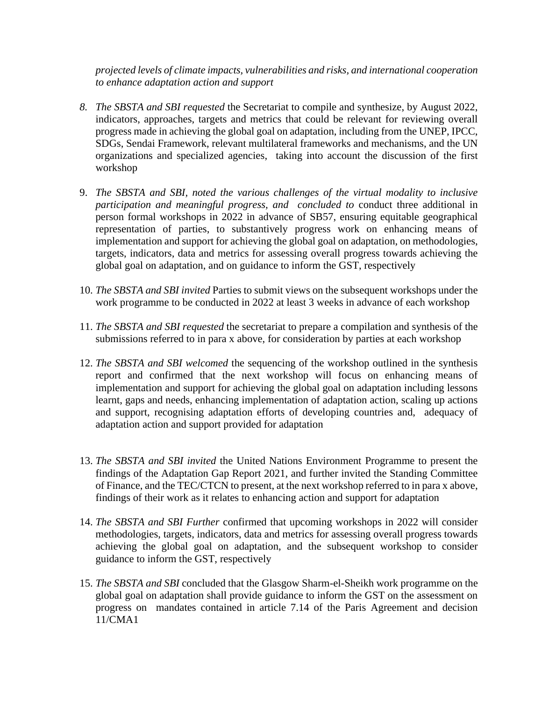*projected levels of climate impacts, vulnerabilities and risks, and international cooperation to enhance adaptation action and support* 

- *8. The SBSTA and SBI requested* the Secretariat to compile and synthesize, by August 2022, indicators, approaches, targets and metrics that could be relevant for reviewing overall progress made in achieving the global goal on adaptation, including from the UNEP, IPCC, SDGs, Sendai Framework, relevant multilateral frameworks and mechanisms, and the UN organizations and specialized agencies, taking into account the discussion of the first workshop
- 9. *The SBSTA and SBI, noted the various challenges of the virtual modality to inclusive participation and meaningful progress, and concluded to* conduct three additional in person formal workshops in 2022 in advance of SB57, ensuring equitable geographical representation of parties, to substantively progress work on enhancing means of implementation and support for achieving the global goal on adaptation, on methodologies, targets, indicators, data and metrics for assessing overall progress towards achieving the global goal on adaptation, and on guidance to inform the GST, respectively
- 10. *The SBSTA and SBI invited* Parties to submit views on the subsequent workshops under the work programme to be conducted in 2022 at least 3 weeks in advance of each workshop
- 11. *The SBSTA and SBI requested* the secretariat to prepare a compilation and synthesis of the submissions referred to in para x above, for consideration by parties at each workshop
- 12. *The SBSTA and SBI welcomed* the sequencing of the workshop outlined in the synthesis report and confirmed that the next workshop will focus on enhancing means of implementation and support for achieving the global goal on adaptation including lessons learnt, gaps and needs, enhancing implementation of adaptation action, scaling up actions and support, recognising adaptation efforts of developing countries and, adequacy of adaptation action and support provided for adaptation
- 13. *The SBSTA and SBI invited* the United Nations Environment Programme to present the findings of the Adaptation Gap Report 2021, and further invited the Standing Committee of Finance, and the TEC/CTCN to present, at the next workshop referred to in para x above, findings of their work as it relates to enhancing action and support for adaptation
- 14. *The SBSTA and SBI Further* confirmed that upcoming workshops in 2022 will consider methodologies, targets, indicators, data and metrics for assessing overall progress towards achieving the global goal on adaptation, and the subsequent workshop to consider guidance to inform the GST, respectively
- 15. *The SBSTA and SBI* concluded that the Glasgow Sharm-el-Sheikh work programme on the global goal on adaptation shall provide guidance to inform the GST on the assessment on progress on mandates contained in article 7.14 of the Paris Agreement and decision 11/CMA1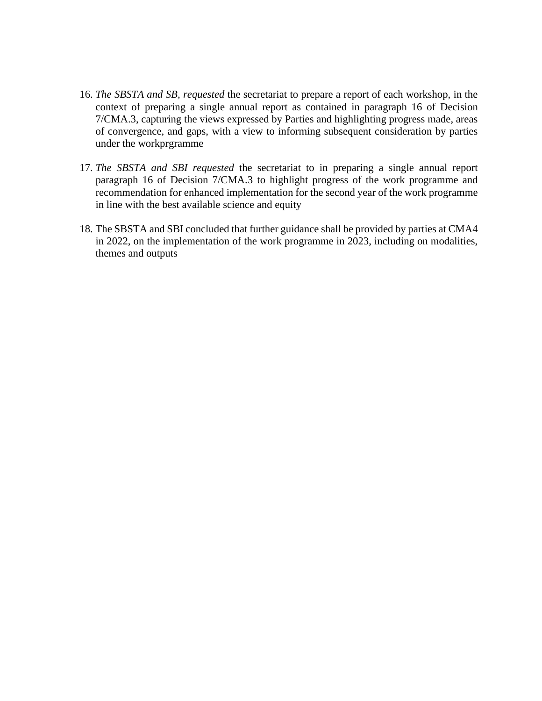- 16. *The SBSTA and SB, requested* the secretariat to prepare a report of each workshop, in the context of preparing a single annual report as contained in paragraph 16 of Decision 7/CMA.3, capturing the views expressed by Parties and highlighting progress made, areas of convergence, and gaps, with a view to informing subsequent consideration by parties under the workprgramme
- 17. *The SBSTA and SBI requested* the secretariat to in preparing a single annual report paragraph 16 of Decision 7/CMA.3 to highlight progress of the work programme and recommendation for enhanced implementation for the second year of the work programme in line with the best available science and equity
- 18. The SBSTA and SBI concluded that further guidance shall be provided by parties at CMA4 in 2022, on the implementation of the work programme in 2023, including on modalities, themes and outputs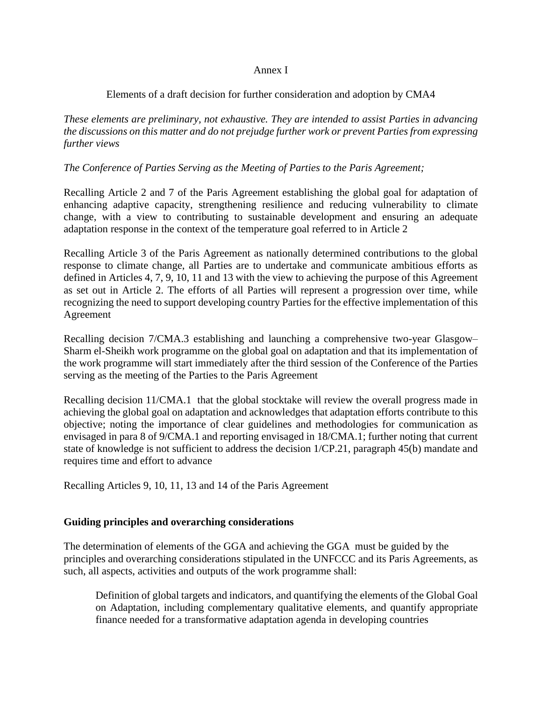#### Annex I

### Elements of a draft decision for further consideration and adoption by CMA4

*These elements are preliminary, not exhaustive. They are intended to assist Parties in advancing the discussions on this matter and do not prejudge further work or prevent Parties from expressing further views*

#### *The Conference of Parties Serving as the Meeting of Parties to the Paris Agreement;*

Recalling Article 2 and 7 of the Paris Agreement establishing the global goal for adaptation of enhancing adaptive capacity, strengthening resilience and reducing vulnerability to climate change, with a view to contributing to sustainable development and ensuring an adequate adaptation response in the context of the temperature goal referred to in Article 2

Recalling Article 3 of the Paris Agreement as nationally determined contributions to the global response to climate change, all Parties are to undertake and communicate ambitious efforts as defined in Articles 4, 7, 9, 10, 11 and 13 with the view to achieving the purpose of this Agreement as set out in Article 2. The efforts of all Parties will represent a progression over time, while recognizing the need to support developing country Parties for the effective implementation of this Agreement

Recalling decision 7/CMA.3 establishing and launching a comprehensive two-year Glasgow– Sharm el-Sheikh work programme on the global goal on adaptation and that its implementation of the work programme will start immediately after the third session of the Conference of the Parties serving as the meeting of the Parties to the Paris Agreement

Recalling decision 11/CMA.1 that the global stocktake will review the overall progress made in achieving the global goal on adaptation and acknowledges that adaptation efforts contribute to this objective; noting the importance of clear guidelines and methodologies for communication as envisaged in para 8 of 9/CMA.1 and reporting envisaged in 18/CMA.1; further noting that current state of knowledge is not sufficient to address the decision 1/CP.21, paragraph 45(b) mandate and requires time and effort to advance

Recalling Articles 9, 10, 11, 13 and 14 of the Paris Agreement

#### **Guiding principles and overarching considerations**

The determination of elements of the GGA and achieving the GGA must be guided by the principles and overarching considerations stipulated in the UNFCCC and its Paris Agreements, as such, all aspects, activities and outputs of the work programme shall:

Definition of global targets and indicators, and quantifying the elements of the Global Goal on Adaptation, including complementary qualitative elements, and quantify appropriate finance needed for a transformative adaptation agenda in developing countries